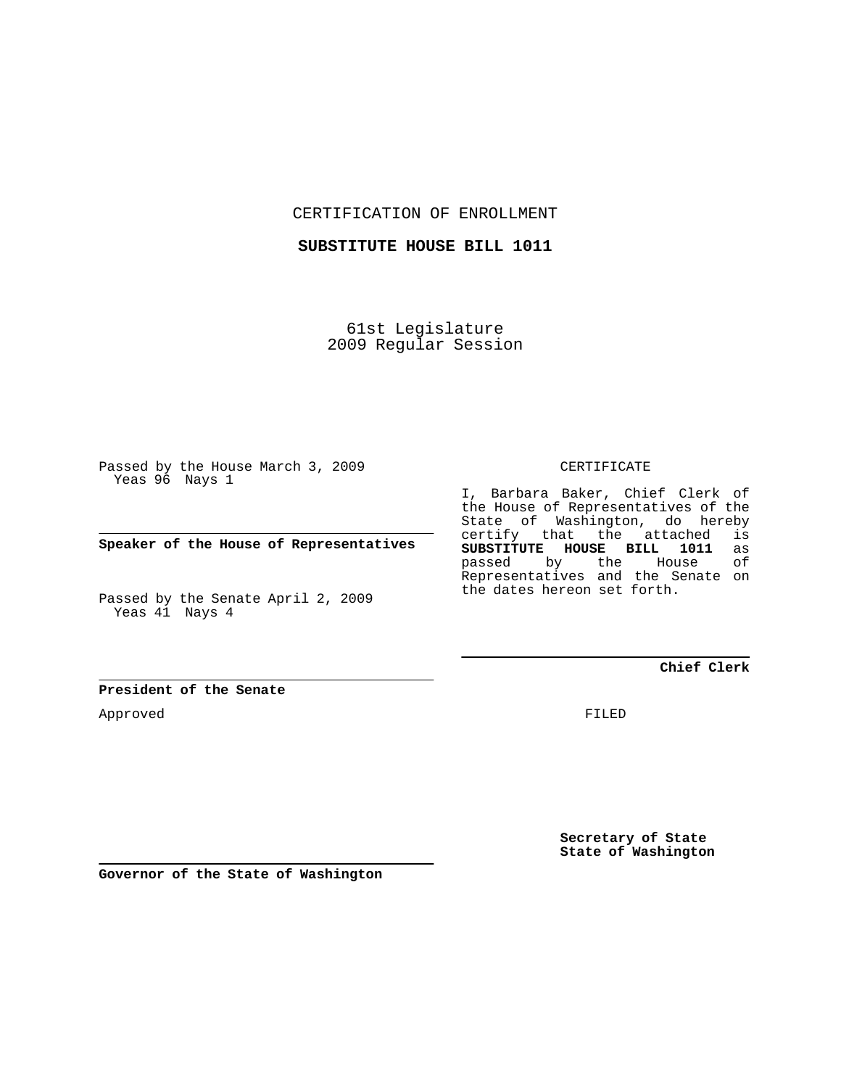CERTIFICATION OF ENROLLMENT

**SUBSTITUTE HOUSE BILL 1011**

61st Legislature 2009 Regular Session

Passed by the House March 3, 2009 Yeas 96 Nays 1

**Speaker of the House of Representatives**

Passed by the Senate April 2, 2009 Yeas 41 Nays 4

**President of the Senate**

Approved

CERTIFICATE

I, Barbara Baker, Chief Clerk of the House of Representatives of the State of Washington, do hereby certify that the attached is<br>SUBSTITUTE HOUSE BILL 1011 as **SUBSTITUTE HOUSE BILL 1011** as passed by the Representatives and the Senate on the dates hereon set forth.

**Chief Clerk**

FILED

**Secretary of State State of Washington**

**Governor of the State of Washington**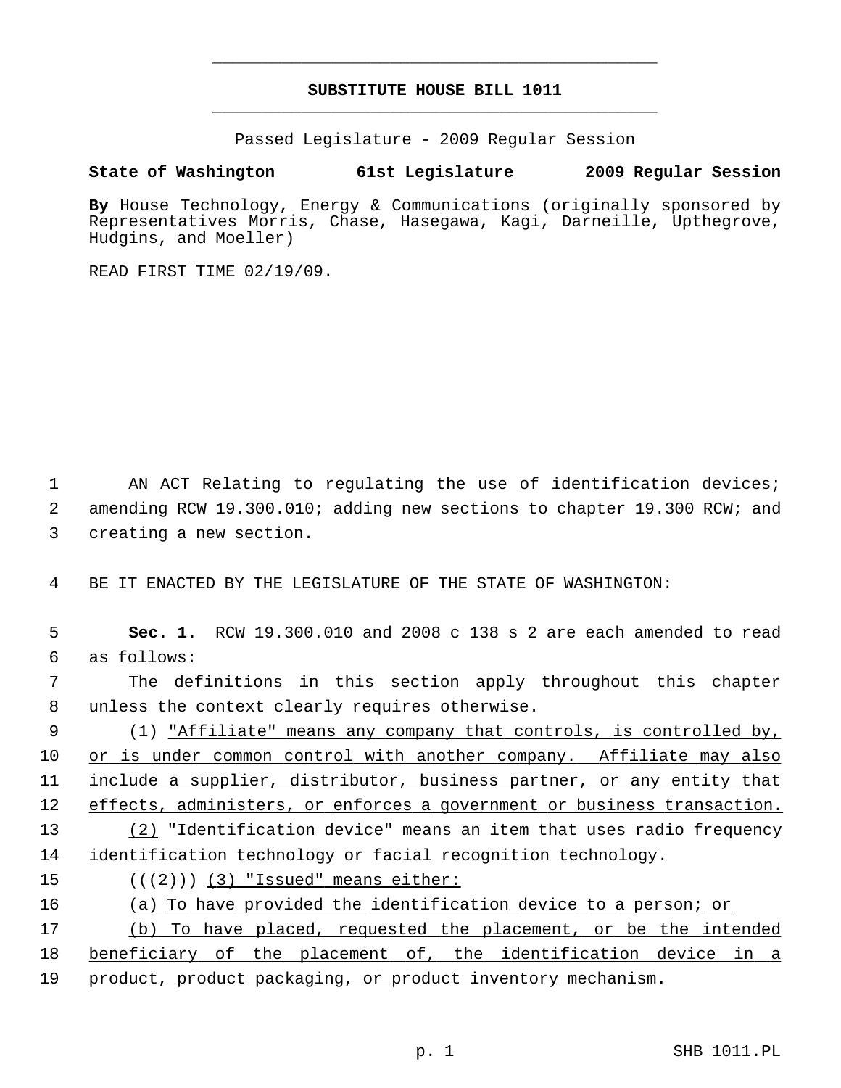## **SUBSTITUTE HOUSE BILL 1011** \_\_\_\_\_\_\_\_\_\_\_\_\_\_\_\_\_\_\_\_\_\_\_\_\_\_\_\_\_\_\_\_\_\_\_\_\_\_\_\_\_\_\_\_\_

\_\_\_\_\_\_\_\_\_\_\_\_\_\_\_\_\_\_\_\_\_\_\_\_\_\_\_\_\_\_\_\_\_\_\_\_\_\_\_\_\_\_\_\_\_

Passed Legislature - 2009 Regular Session

## **State of Washington 61st Legislature 2009 Regular Session**

**By** House Technology, Energy & Communications (originally sponsored by Representatives Morris, Chase, Hasegawa, Kagi, Darneille, Upthegrove, Hudgins, and Moeller)

READ FIRST TIME 02/19/09.

1 AN ACT Relating to regulating the use of identification devices; 2 amending RCW 19.300.010; adding new sections to chapter 19.300 RCW; and 3 creating a new section.

4 BE IT ENACTED BY THE LEGISLATURE OF THE STATE OF WASHINGTON:

 5 **Sec. 1.** RCW 19.300.010 and 2008 c 138 s 2 are each amended to read 6 as follows:

 7 The definitions in this section apply throughout this chapter 8 unless the context clearly requires otherwise.

 9 (1) "Affiliate" means any company that controls, is controlled by, 10 or is under common control with another company. Affiliate may also 11 include a supplier, distributor, business partner, or any entity that 12 effects, administers, or enforces a government or business transaction. 13 (2) "Identification device" means an item that uses radio frequency

14 identification technology or facial recognition technology.

15  $((+2)^{n})$  (3) "Issued" means either:

16 (a) To have provided the identification device to a person; or

17 (b) To have placed, requested the placement, or be the intended 18 beneficiary of the placement of, the identification device in a 19 product, product packaging, or product inventory mechanism.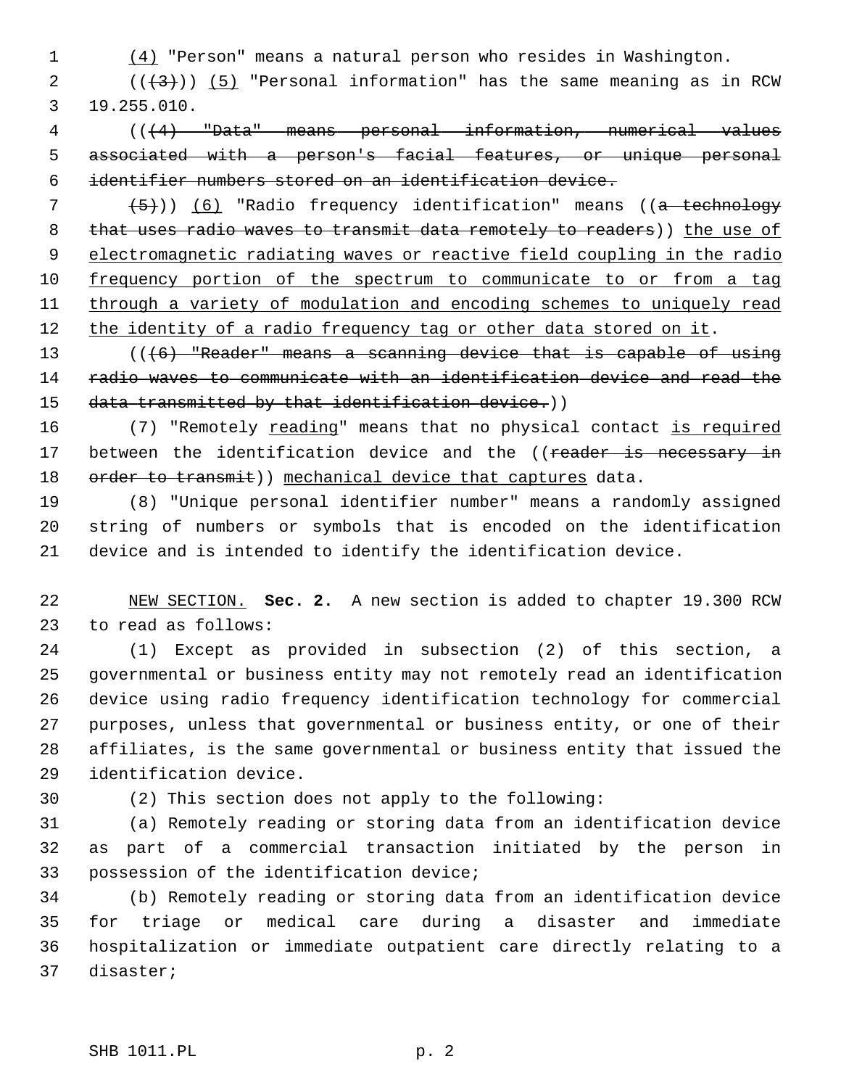1 (4) "Person" means a natural person who resides in Washington.

2  $((+3))$  (5) "Personal information" has the same meaning as in RCW 3 19.255.010.

 4 (((4) "Data" means personal information, numerical values 5 associated with a person's facial features, or unique personal 6 identifier numbers stored on an identification device.

  $(5)$ )) (6) "Radio frequency identification" means ((a technology 8 that uses radio waves to transmit data remotely to readers)) the use of electromagnetic radiating waves or reactive field coupling in the radio frequency portion of the spectrum to communicate to or from a tag through a variety of modulation and encoding schemes to uniquely read 12 the identity of a radio frequency tag or other data stored on it.

13 (((6) "Reader" means a scanning device that is capable of using 14 radio waves to communicate with an identification device and read the 15 data transmitted by that identification device.))

16 (7) "Remotely reading" means that no physical contact is required 17 between the identification device and the ((reader is necessary in 18 order to transmit)) mechanical device that captures data.

19 (8) "Unique personal identifier number" means a randomly assigned 20 string of numbers or symbols that is encoded on the identification 21 device and is intended to identify the identification device.

22 NEW SECTION. **Sec. 2.** A new section is added to chapter 19.300 RCW 23 to read as follows:

24 (1) Except as provided in subsection (2) of this section, a 25 governmental or business entity may not remotely read an identification 26 device using radio frequency identification technology for commercial 27 purposes, unless that governmental or business entity, or one of their 28 affiliates, is the same governmental or business entity that issued the 29 identification device.

30 (2) This section does not apply to the following:

31 (a) Remotely reading or storing data from an identification device 32 as part of a commercial transaction initiated by the person in 33 possession of the identification device;

34 (b) Remotely reading or storing data from an identification device 35 for triage or medical care during a disaster and immediate 36 hospitalization or immediate outpatient care directly relating to a 37 disaster;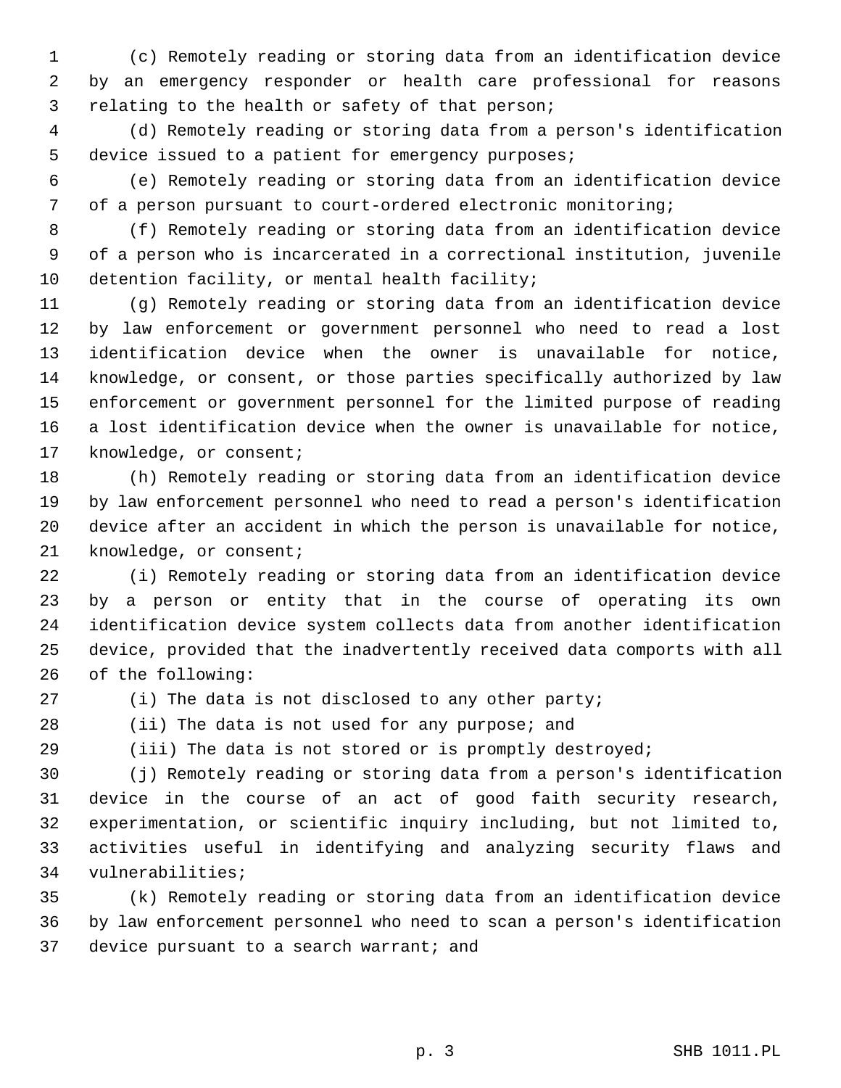1 (c) Remotely reading or storing data from an identification device 2 by an emergency responder or health care professional for reasons 3 relating to the health or safety of that person;

 4 (d) Remotely reading or storing data from a person's identification 5 device issued to a patient for emergency purposes;

 6 (e) Remotely reading or storing data from an identification device 7 of a person pursuant to court-ordered electronic monitoring;

 8 (f) Remotely reading or storing data from an identification device 9 of a person who is incarcerated in a correctional institution, juvenile 10 detention facility, or mental health facility;

11 (g) Remotely reading or storing data from an identification device 12 by law enforcement or government personnel who need to read a lost 13 identification device when the owner is unavailable for notice, 14 knowledge, or consent, or those parties specifically authorized by law 15 enforcement or government personnel for the limited purpose of reading 16 a lost identification device when the owner is unavailable for notice, 17 knowledge, or consent;

18 (h) Remotely reading or storing data from an identification device 19 by law enforcement personnel who need to read a person's identification 20 device after an accident in which the person is unavailable for notice, 21 knowledge, or consent;

22 (i) Remotely reading or storing data from an identification device 23 by a person or entity that in the course of operating its own 24 identification device system collects data from another identification 25 device, provided that the inadvertently received data comports with all 26 of the following:

27 (i) The data is not disclosed to any other party;

28 (ii) The data is not used for any purpose; and

29 (iii) The data is not stored or is promptly destroyed;

30 (j) Remotely reading or storing data from a person's identification 31 device in the course of an act of good faith security research, 32 experimentation, or scientific inquiry including, but not limited to, 33 activities useful in identifying and analyzing security flaws and 34 vulnerabilities;

35 (k) Remotely reading or storing data from an identification device 36 by law enforcement personnel who need to scan a person's identification 37 device pursuant to a search warrant; and